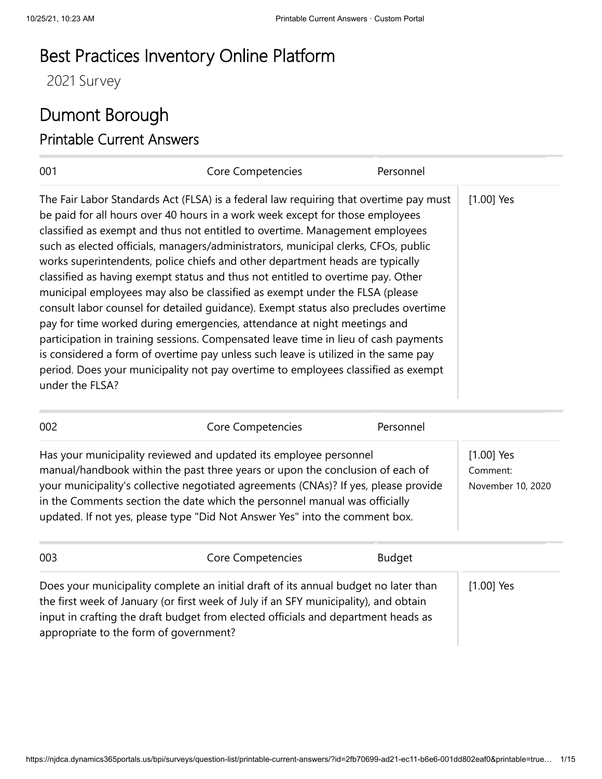## Best Practices Inventory Online Platform

2021 Survey

## Dumont Borough Printable Current Answers

| 001                                                                                                                                                                                                                                                                                                                                                                                                                                                                                                                                                                                                                                                                                                                                                                                                                                                                                                                                                                                                                                                     | Core Competencies | Personnel |              |
|---------------------------------------------------------------------------------------------------------------------------------------------------------------------------------------------------------------------------------------------------------------------------------------------------------------------------------------------------------------------------------------------------------------------------------------------------------------------------------------------------------------------------------------------------------------------------------------------------------------------------------------------------------------------------------------------------------------------------------------------------------------------------------------------------------------------------------------------------------------------------------------------------------------------------------------------------------------------------------------------------------------------------------------------------------|-------------------|-----------|--------------|
| The Fair Labor Standards Act (FLSA) is a federal law requiring that overtime pay must<br>be paid for all hours over 40 hours in a work week except for those employees<br>classified as exempt and thus not entitled to overtime. Management employees<br>such as elected officials, managers/administrators, municipal clerks, CFOs, public<br>works superintendents, police chiefs and other department heads are typically<br>classified as having exempt status and thus not entitled to overtime pay. Other<br>municipal employees may also be classified as exempt under the FLSA (please<br>consult labor counsel for detailed quidance). Exempt status also precludes overtime<br>pay for time worked during emergencies, attendance at night meetings and<br>participation in training sessions. Compensated leave time in lieu of cash payments<br>is considered a form of overtime pay unless such leave is utilized in the same pay<br>period. Does your municipality not pay overtime to employees classified as exempt<br>under the FLSA? |                   |           | $[1.00]$ Yes |

| 002 | Core Competencies                                                                                                                                                                                                                                                                                                                                                                                      | Personnel |                                               |
|-----|--------------------------------------------------------------------------------------------------------------------------------------------------------------------------------------------------------------------------------------------------------------------------------------------------------------------------------------------------------------------------------------------------------|-----------|-----------------------------------------------|
|     | Has your municipality reviewed and updated its employee personnel<br>manual/handbook within the past three years or upon the conclusion of each of<br>your municipality's collective negotiated agreements (CNAs)? If yes, please provide<br>in the Comments section the date which the personnel manual was officially<br>updated. If not yes, please type "Did Not Answer Yes" into the comment box. |           | $[1.00]$ Yes<br>Comment:<br>November 10, 2020 |
|     |                                                                                                                                                                                                                                                                                                                                                                                                        |           |                                               |

| 003                                    | Core Competencies                                                                    | <b>Budget</b> |              |
|----------------------------------------|--------------------------------------------------------------------------------------|---------------|--------------|
|                                        | Does your municipality complete an initial draft of its annual budget no later than  |               | $[1.00]$ Yes |
|                                        | the first week of January (or first week of July if an SFY municipality), and obtain |               |              |
|                                        | input in crafting the draft budget from elected officials and department heads as    |               |              |
| appropriate to the form of government? |                                                                                      |               |              |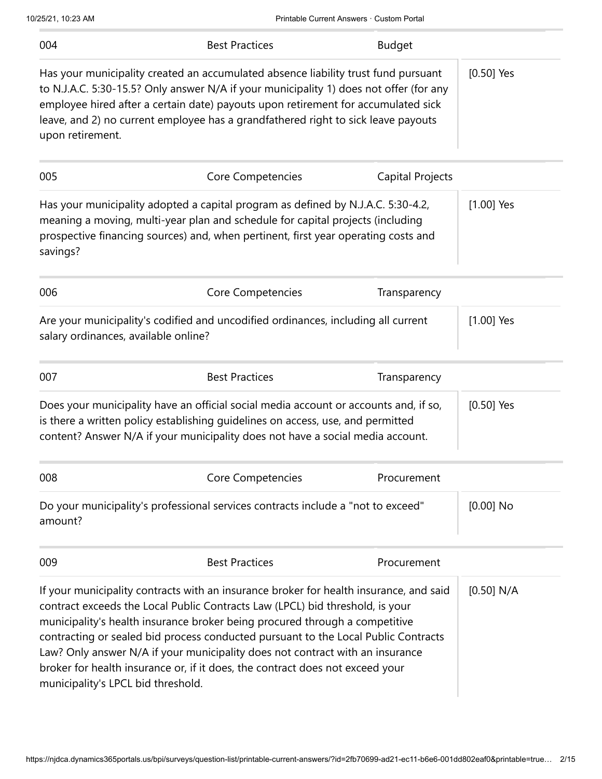| 004                                  | <b>Best Practices</b>                                                                                                                                                                                                                                                                                                                                                                                                                                                                                          | <b>Budget</b>    |              |
|--------------------------------------|----------------------------------------------------------------------------------------------------------------------------------------------------------------------------------------------------------------------------------------------------------------------------------------------------------------------------------------------------------------------------------------------------------------------------------------------------------------------------------------------------------------|------------------|--------------|
| upon retirement.                     | Has your municipality created an accumulated absence liability trust fund pursuant<br>to N.J.A.C. 5:30-15.5? Only answer N/A if your municipality 1) does not offer (for any<br>employee hired after a certain date) payouts upon retirement for accumulated sick<br>leave, and 2) no current employee has a grandfathered right to sick leave payouts                                                                                                                                                         |                  | $[0.50]$ Yes |
| 005                                  | Core Competencies                                                                                                                                                                                                                                                                                                                                                                                                                                                                                              | Capital Projects |              |
| savings?                             | Has your municipality adopted a capital program as defined by N.J.A.C. 5:30-4.2,<br>meaning a moving, multi-year plan and schedule for capital projects (including<br>prospective financing sources) and, when pertinent, first year operating costs and                                                                                                                                                                                                                                                       |                  | $[1.00]$ Yes |
| 006                                  | Core Competencies                                                                                                                                                                                                                                                                                                                                                                                                                                                                                              | Transparency     |              |
| salary ordinances, available online? | Are your municipality's codified and uncodified ordinances, including all current                                                                                                                                                                                                                                                                                                                                                                                                                              |                  | $[1.00]$ Yes |
| 007                                  | <b>Best Practices</b>                                                                                                                                                                                                                                                                                                                                                                                                                                                                                          | Transparency     |              |
|                                      | Does your municipality have an official social media account or accounts and, if so,<br>is there a written policy establishing guidelines on access, use, and permitted<br>content? Answer N/A if your municipality does not have a social media account.                                                                                                                                                                                                                                                      |                  | $[0.50]$ Yes |
| 008                                  | Core Competencies                                                                                                                                                                                                                                                                                                                                                                                                                                                                                              | Procurement      |              |
| amount?                              | Do your municipality's professional services contracts include a "not to exceed"                                                                                                                                                                                                                                                                                                                                                                                                                               |                  | $[0.00]$ No  |
| 009                                  | <b>Best Practices</b>                                                                                                                                                                                                                                                                                                                                                                                                                                                                                          | Procurement      |              |
| municipality's LPCL bid threshold.   | If your municipality contracts with an insurance broker for health insurance, and said<br>contract exceeds the Local Public Contracts Law (LPCL) bid threshold, is your<br>municipality's health insurance broker being procured through a competitive<br>contracting or sealed bid process conducted pursuant to the Local Public Contracts<br>Law? Only answer N/A if your municipality does not contract with an insurance<br>broker for health insurance or, if it does, the contract does not exceed your |                  | [0.50] N/A   |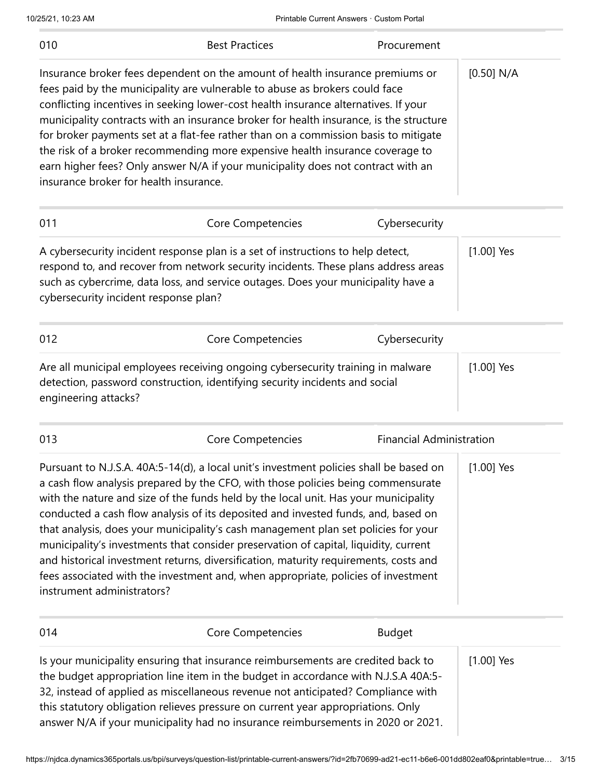| 010                                    | <b>Best Practices</b>                                                                                                                                                                                                                                                                                                                                                                                                                                                                                                                                                                                                                                                                                             | Procurement                     |              |
|----------------------------------------|-------------------------------------------------------------------------------------------------------------------------------------------------------------------------------------------------------------------------------------------------------------------------------------------------------------------------------------------------------------------------------------------------------------------------------------------------------------------------------------------------------------------------------------------------------------------------------------------------------------------------------------------------------------------------------------------------------------------|---------------------------------|--------------|
| insurance broker for health insurance. | Insurance broker fees dependent on the amount of health insurance premiums or<br>fees paid by the municipality are vulnerable to abuse as brokers could face<br>conflicting incentives in seeking lower-cost health insurance alternatives. If your<br>municipality contracts with an insurance broker for health insurance, is the structure<br>for broker payments set at a flat-fee rather than on a commission basis to mitigate<br>the risk of a broker recommending more expensive health insurance coverage to<br>earn higher fees? Only answer N/A if your municipality does not contract with an                                                                                                         |                                 | [0.50] N/A   |
| 011                                    | Core Competencies                                                                                                                                                                                                                                                                                                                                                                                                                                                                                                                                                                                                                                                                                                 | Cybersecurity                   |              |
| cybersecurity incident response plan?  | A cybersecurity incident response plan is a set of instructions to help detect,<br>respond to, and recover from network security incidents. These plans address areas<br>such as cybercrime, data loss, and service outages. Does your municipality have a                                                                                                                                                                                                                                                                                                                                                                                                                                                        |                                 | $[1.00]$ Yes |
| 012                                    | Core Competencies                                                                                                                                                                                                                                                                                                                                                                                                                                                                                                                                                                                                                                                                                                 | Cybersecurity                   |              |
| engineering attacks?                   | Are all municipal employees receiving ongoing cybersecurity training in malware<br>detection, password construction, identifying security incidents and social                                                                                                                                                                                                                                                                                                                                                                                                                                                                                                                                                    |                                 | $[1.00]$ Yes |
| 013                                    | Core Competencies                                                                                                                                                                                                                                                                                                                                                                                                                                                                                                                                                                                                                                                                                                 | <b>Financial Administration</b> |              |
| instrument administrators?             | Pursuant to N.J.S.A. 40A:5-14(d), a local unit's investment policies shall be based on<br>a cash flow analysis prepared by the CFO, with those policies being commensurate<br>with the nature and size of the funds held by the local unit. Has your municipality<br>conducted a cash flow analysis of its deposited and invested funds, and, based on<br>that analysis, does your municipality's cash management plan set policies for your<br>municipality's investments that consider preservation of capital, liquidity, current<br>and historical investment returns, diversification, maturity requirements, costs and<br>fees associated with the investment and, when appropriate, policies of investment |                                 | $[1.00]$ Yes |
| 014                                    | Core Competencies                                                                                                                                                                                                                                                                                                                                                                                                                                                                                                                                                                                                                                                                                                 | <b>Budget</b>                   |              |
|                                        | Is your municipality ensuring that insurance reimbursements are credited back to<br>the budget appropriation line item in the budget in accordance with N.J.S.A 40A:5-<br>32, instead of applied as miscellaneous revenue not anticipated? Compliance with<br>this statutory obligation relieves pressure on current year appropriations. Only<br>answer N/A if your municipality had no insurance reimbursements in 2020 or 2021.                                                                                                                                                                                                                                                                                |                                 | $[1.00]$ Yes |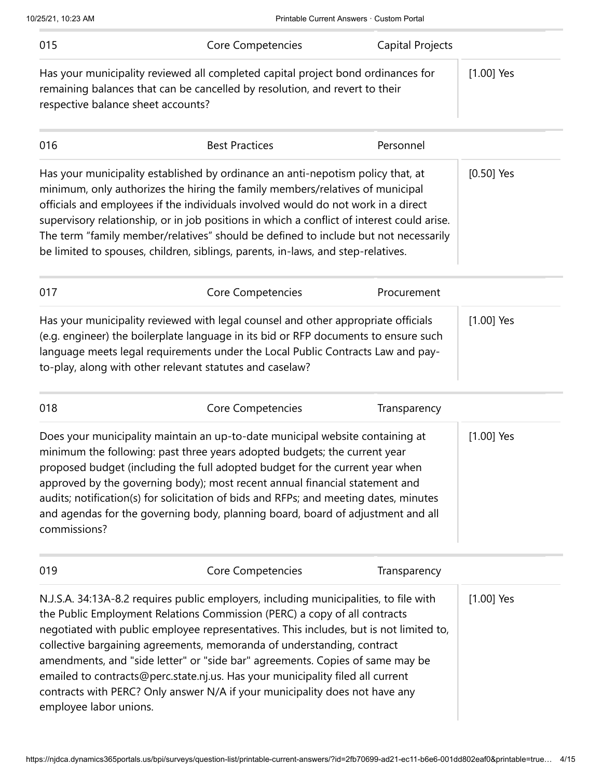| 015                                                                                                                                                              | Core Competencies                                                                                                                                                                                                                                                                                                                                                                                                                                                                                                              | Capital Projects |              |
|------------------------------------------------------------------------------------------------------------------------------------------------------------------|--------------------------------------------------------------------------------------------------------------------------------------------------------------------------------------------------------------------------------------------------------------------------------------------------------------------------------------------------------------------------------------------------------------------------------------------------------------------------------------------------------------------------------|------------------|--------------|
| respective balance sheet accounts?                                                                                                                               | Has your municipality reviewed all completed capital project bond ordinances for<br>remaining balances that can be cancelled by resolution, and revert to their                                                                                                                                                                                                                                                                                                                                                                |                  | $[1.00]$ Yes |
| 016                                                                                                                                                              | <b>Best Practices</b>                                                                                                                                                                                                                                                                                                                                                                                                                                                                                                          | Personnel        |              |
|                                                                                                                                                                  | Has your municipality established by ordinance an anti-nepotism policy that, at<br>minimum, only authorizes the hiring the family members/relatives of municipal<br>officials and employees if the individuals involved would do not work in a direct<br>supervisory relationship, or in job positions in which a conflict of interest could arise.<br>The term "family member/relatives" should be defined to include but not necessarily<br>be limited to spouses, children, siblings, parents, in-laws, and step-relatives. |                  | $[0.50]$ Yes |
| 017                                                                                                                                                              | Core Competencies                                                                                                                                                                                                                                                                                                                                                                                                                                                                                                              | Procurement      |              |
|                                                                                                                                                                  | Has your municipality reviewed with legal counsel and other appropriate officials<br>(e.g. engineer) the boilerplate language in its bid or RFP documents to ensure such<br>language meets legal requirements under the Local Public Contracts Law and pay-<br>to-play, along with other relevant statutes and caselaw?                                                                                                                                                                                                        |                  | $[1.00]$ Yes |
| 018                                                                                                                                                              | Core Competencies                                                                                                                                                                                                                                                                                                                                                                                                                                                                                                              | Transparency     |              |
| commissions?                                                                                                                                                     | Does your municipality maintain an up-to-date municipal website containing at<br>minimum the following: past three years adopted budgets; the current year<br>proposed budget (including the full adopted budget for the current year when<br>approved by the governing body); most recent annual financial statement and<br>audits; notification(s) for solicitation of bids and RFPs; and meeting dates, minutes<br>and agendas for the governing body, planning board, board of adjustment and all                          |                  | $[1.00]$ Yes |
| 019                                                                                                                                                              | Core Competencies                                                                                                                                                                                                                                                                                                                                                                                                                                                                                                              | Transparency     |              |
| negotiated with public employee representatives. This includes, but is not limited to,<br>collective bargaining agreements, memoranda of understanding, contract | N.J.S.A. 34:13A-8.2 requires public employers, including municipalities, to file with<br>the Public Employment Relations Commission (PERC) a copy of all contracts                                                                                                                                                                                                                                                                                                                                                             |                  | $[1.00]$ Yes |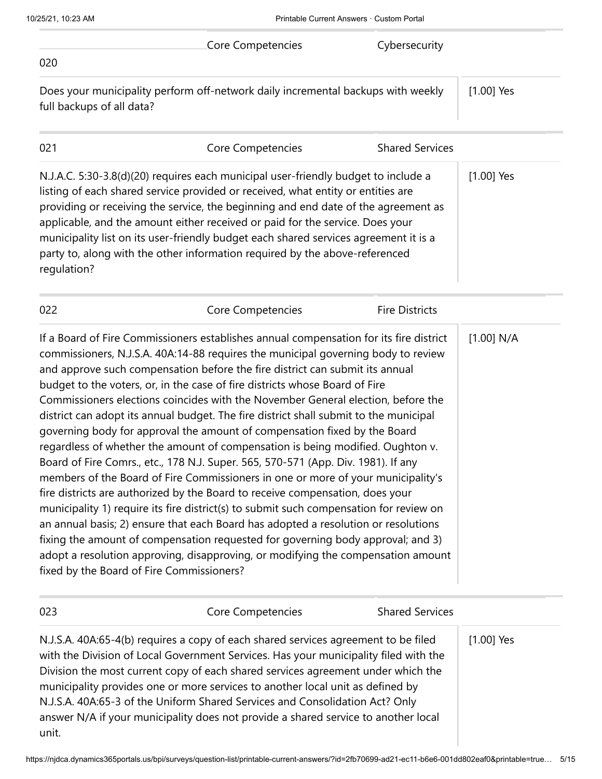| 020                                                                                                                                                                                                                                                                                                                                                                                                                                                                                                                                                                                                                                                                                                                                                                                                                                                                                                                                                                                                                                                                                                                                                                                                                                                                                                                                                  | Core Competencies | Cybersecurity          |              |
|------------------------------------------------------------------------------------------------------------------------------------------------------------------------------------------------------------------------------------------------------------------------------------------------------------------------------------------------------------------------------------------------------------------------------------------------------------------------------------------------------------------------------------------------------------------------------------------------------------------------------------------------------------------------------------------------------------------------------------------------------------------------------------------------------------------------------------------------------------------------------------------------------------------------------------------------------------------------------------------------------------------------------------------------------------------------------------------------------------------------------------------------------------------------------------------------------------------------------------------------------------------------------------------------------------------------------------------------------|-------------------|------------------------|--------------|
| Does your municipality perform off-network daily incremental backups with weekly<br>full backups of all data?                                                                                                                                                                                                                                                                                                                                                                                                                                                                                                                                                                                                                                                                                                                                                                                                                                                                                                                                                                                                                                                                                                                                                                                                                                        |                   |                        | $[1.00]$ Yes |
| 021                                                                                                                                                                                                                                                                                                                                                                                                                                                                                                                                                                                                                                                                                                                                                                                                                                                                                                                                                                                                                                                                                                                                                                                                                                                                                                                                                  | Core Competencies | <b>Shared Services</b> |              |
| N.J.A.C. 5:30-3.8(d)(20) requires each municipal user-friendly budget to include a<br>listing of each shared service provided or received, what entity or entities are<br>providing or receiving the service, the beginning and end date of the agreement as<br>applicable, and the amount either received or paid for the service. Does your<br>municipality list on its user-friendly budget each shared services agreement it is a<br>party to, along with the other information required by the above-referenced<br>regulation?                                                                                                                                                                                                                                                                                                                                                                                                                                                                                                                                                                                                                                                                                                                                                                                                                  |                   |                        | $[1.00]$ Yes |
| 022                                                                                                                                                                                                                                                                                                                                                                                                                                                                                                                                                                                                                                                                                                                                                                                                                                                                                                                                                                                                                                                                                                                                                                                                                                                                                                                                                  | Core Competencies | <b>Fire Districts</b>  |              |
| If a Board of Fire Commissioners establishes annual compensation for its fire district<br>commissioners, N.J.S.A. 40A:14-88 requires the municipal governing body to review<br>and approve such compensation before the fire district can submit its annual<br>budget to the voters, or, in the case of fire districts whose Board of Fire<br>Commissioners elections coincides with the November General election, before the<br>district can adopt its annual budget. The fire district shall submit to the municipal<br>governing body for approval the amount of compensation fixed by the Board<br>regardless of whether the amount of compensation is being modified. Oughton v.<br>Board of Fire Comrs., etc., 178 N.J. Super. 565, 570-571 (App. Div. 1981). If any<br>members of the Board of Fire Commissioners in one or more of your municipality's<br>fire districts are authorized by the Board to receive compensation, does your<br>municipality 1) require its fire district(s) to submit such compensation for review on<br>an annual basis; 2) ensure that each Board has adopted a resolution or resolutions<br>fixing the amount of compensation requested for governing body approval; and 3)<br>adopt a resolution approving, disapproving, or modifying the compensation amount<br>fixed by the Board of Fire Commissioners? |                   |                        | [1.00] N/A   |
| 023                                                                                                                                                                                                                                                                                                                                                                                                                                                                                                                                                                                                                                                                                                                                                                                                                                                                                                                                                                                                                                                                                                                                                                                                                                                                                                                                                  | Core Competencies | <b>Shared Services</b> |              |
| N.J.S.A. 40A:65-4(b) requires a copy of each shared services agreement to be filed<br>with the Division of Local Government Services. Has your municipality filed with the<br>Division the most current copy of each shared services agreement under which the<br>municipality provides one or more services to another local unit as defined by<br>N.J.S.A. 40A:65-3 of the Uniform Shared Services and Consolidation Act? Only<br>answer N/A if your municipality does not provide a shared service to another local<br>unit.                                                                                                                                                                                                                                                                                                                                                                                                                                                                                                                                                                                                                                                                                                                                                                                                                      |                   |                        | $[1.00]$ Yes |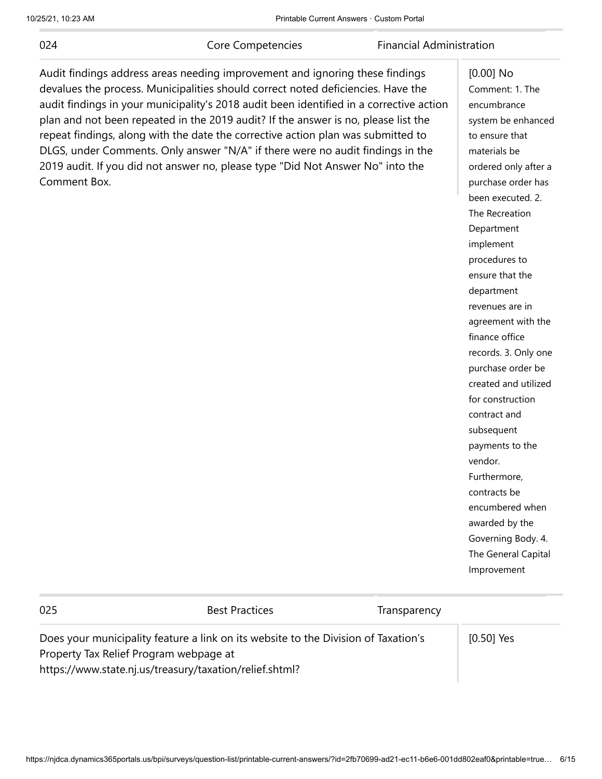024

Core Competencies Financial Administration

 $[0.00]$  No

Audit findings address areas needing improvement and ignoring these findings devalues the process. Municipalities should correct noted deficiencies. Have the audit findings in your municipality's 2018 audit been identified in a corrective action plan and not been repeated in the 2019 audit? If the answer is no, please list the repeat findings, along with the date the corrective action plan was submitted to DLGS, under Comments. Only answer "N/A" if there were no audit findings in the 2019 audit. If you did not answer no, please type "Did Not Answer No" into the Comment Box.

| [U.UU]<br>י          |
|----------------------|
| Comment: 1. The      |
| encumbrance          |
| system be enhanced   |
| to ensure that       |
| materials be         |
| ordered only after a |
| purchase order has   |
| been executed. 2.    |
| The Recreation       |
| Department           |
| implement            |
| procedures to        |
| ensure that the      |
| department           |
| revenues are in      |
| agreement with the   |
| finance office       |
| records. 3. Only one |
| purchase order be    |
| created and utilized |
| for construction     |
| contract and         |
| subsequent           |
| payments to the      |
| vendor.              |
| Furthermore,         |
| contracts be         |
| encumbered when      |
| awarded by the       |
| Governing Body. 4.   |
| The General Capital  |
| Improvement          |
|                      |

| 025                                                                                                                          | <b>Best Practices</b> | Transparency |              |
|------------------------------------------------------------------------------------------------------------------------------|-----------------------|--------------|--------------|
| Does your municipality feature a link on its website to the Division of Taxation's<br>Property Tax Relief Program webpage at |                       |              | $[0.50]$ Yes |
| https://www.state.nj.us/treasury/taxation/relief.shtml?                                                                      |                       |              |              |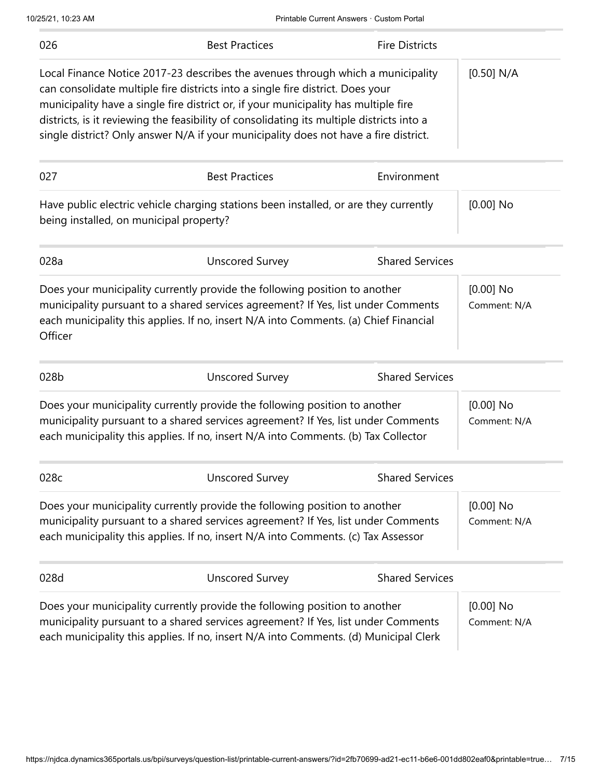| 026                                     | <b>Best Practices</b>                                                                                                                                                                                                                                                                                                                                                                                                                         | <b>Fire Districts</b>  |                             |
|-----------------------------------------|-----------------------------------------------------------------------------------------------------------------------------------------------------------------------------------------------------------------------------------------------------------------------------------------------------------------------------------------------------------------------------------------------------------------------------------------------|------------------------|-----------------------------|
|                                         | Local Finance Notice 2017-23 describes the avenues through which a municipality<br>can consolidate multiple fire districts into a single fire district. Does your<br>municipality have a single fire district or, if your municipality has multiple fire<br>districts, is it reviewing the feasibility of consolidating its multiple districts into a<br>single district? Only answer N/A if your municipality does not have a fire district. |                        | [0.50] N/A                  |
| 027                                     | <b>Best Practices</b>                                                                                                                                                                                                                                                                                                                                                                                                                         | Environment            |                             |
| being installed, on municipal property? | Have public electric vehicle charging stations been installed, or are they currently                                                                                                                                                                                                                                                                                                                                                          |                        | $[0.00]$ No                 |
| 028a                                    | <b>Unscored Survey</b>                                                                                                                                                                                                                                                                                                                                                                                                                        | <b>Shared Services</b> |                             |
| Officer                                 | Does your municipality currently provide the following position to another<br>municipality pursuant to a shared services agreement? If Yes, list under Comments<br>each municipality this applies. If no, insert N/A into Comments. (a) Chief Financial                                                                                                                                                                                       |                        | $[0.00]$ No<br>Comment: N/A |
| 028b                                    | <b>Unscored Survey</b>                                                                                                                                                                                                                                                                                                                                                                                                                        | <b>Shared Services</b> |                             |
|                                         | Does your municipality currently provide the following position to another<br>municipality pursuant to a shared services agreement? If Yes, list under Comments<br>each municipality this applies. If no, insert N/A into Comments. (b) Tax Collector                                                                                                                                                                                         |                        | $[0.00]$ No<br>Comment: N/A |
| 028c                                    | <b>Unscored Survey</b>                                                                                                                                                                                                                                                                                                                                                                                                                        | <b>Shared Services</b> |                             |
|                                         | Does your municipality currently provide the following position to another<br>municipality pursuant to a shared services agreement? If Yes, list under Comments<br>each municipality this applies. If no, insert N/A into Comments. (c) Tax Assessor                                                                                                                                                                                          |                        | $[0.00]$ No<br>Comment: N/A |
| 028d                                    | <b>Unscored Survey</b>                                                                                                                                                                                                                                                                                                                                                                                                                        | <b>Shared Services</b> |                             |
|                                         | Does your municipality currently provide the following position to another<br>municipality pursuant to a shared services agreement? If Yes, list under Comments<br>each municipality this applies. If no, insert N/A into Comments. (d) Municipal Clerk                                                                                                                                                                                       |                        | $[0.00]$ No<br>Comment: N/A |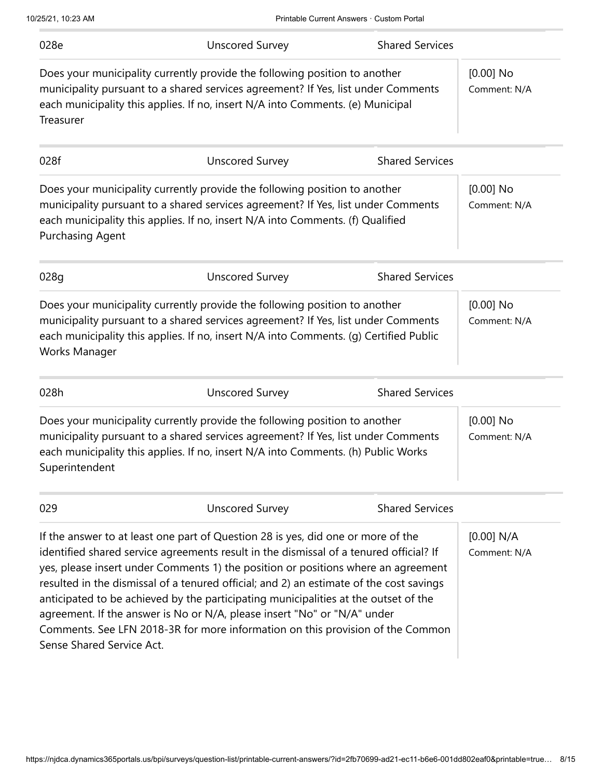| 028e                                                                             | <b>Unscored Survey</b>                                                                                                                                                                                                                                   | <b>Shared Services</b> |                             |
|----------------------------------------------------------------------------------|----------------------------------------------------------------------------------------------------------------------------------------------------------------------------------------------------------------------------------------------------------|------------------------|-----------------------------|
| Treasurer                                                                        | Does your municipality currently provide the following position to another<br>municipality pursuant to a shared services agreement? If Yes, list under Comments<br>each municipality this applies. If no, insert N/A into Comments. (e) Municipal        |                        | $[0.00]$ No<br>Comment: N/A |
| 028f                                                                             | <b>Unscored Survey</b>                                                                                                                                                                                                                                   | <b>Shared Services</b> |                             |
| <b>Purchasing Agent</b>                                                          | Does your municipality currently provide the following position to another<br>municipality pursuant to a shared services agreement? If Yes, list under Comments<br>each municipality this applies. If no, insert N/A into Comments. (f) Qualified        |                        | $[0.00]$ No<br>Comment: N/A |
| 028g                                                                             | <b>Unscored Survey</b>                                                                                                                                                                                                                                   | <b>Shared Services</b> |                             |
| Works Manager                                                                    | Does your municipality currently provide the following position to another<br>municipality pursuant to a shared services agreement? If Yes, list under Comments<br>each municipality this applies. If no, insert N/A into Comments. (g) Certified Public |                        | $[0.00]$ No<br>Comment: N/A |
| 028h                                                                             | <b>Unscored Survey</b>                                                                                                                                                                                                                                   | <b>Shared Services</b> |                             |
| Superintendent                                                                   | Does your municipality currently provide the following position to another<br>municipality pursuant to a shared services agreement? If Yes, list under Comments<br>each municipality this applies. If no, insert N/A into Comments. (h) Public Works     |                        | $[0.00]$ No<br>Comment: N/A |
| 029                                                                              | <b>Unscored Survey</b>                                                                                                                                                                                                                                   | <b>Shared Services</b> |                             |
| If the answer to at least one part of Question 28 is yes, did one or more of the |                                                                                                                                                                                                                                                          |                        |                             |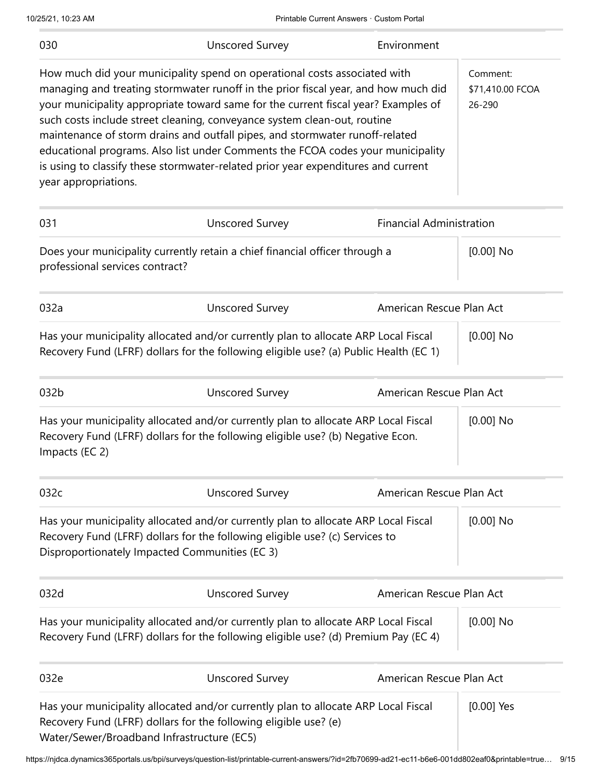| 030                             | <b>Unscored Survey</b>                                                                                                                                                                                                                                                                                                                                                                                                                                                                                                                                                                    | Environment                     |                                        |
|---------------------------------|-------------------------------------------------------------------------------------------------------------------------------------------------------------------------------------------------------------------------------------------------------------------------------------------------------------------------------------------------------------------------------------------------------------------------------------------------------------------------------------------------------------------------------------------------------------------------------------------|---------------------------------|----------------------------------------|
| year appropriations.            | How much did your municipality spend on operational costs associated with<br>managing and treating stormwater runoff in the prior fiscal year, and how much did<br>your municipality appropriate toward same for the current fiscal year? Examples of<br>such costs include street cleaning, conveyance system clean-out, routine<br>maintenance of storm drains and outfall pipes, and stormwater runoff-related<br>educational programs. Also list under Comments the FCOA codes your municipality<br>is using to classify these stormwater-related prior year expenditures and current |                                 | Comment:<br>\$71,410.00 FCOA<br>26-290 |
| 031                             | <b>Unscored Survey</b>                                                                                                                                                                                                                                                                                                                                                                                                                                                                                                                                                                    | <b>Financial Administration</b> |                                        |
| professional services contract? | Does your municipality currently retain a chief financial officer through a                                                                                                                                                                                                                                                                                                                                                                                                                                                                                                               |                                 | $[0.00]$ No                            |
| 032a                            | <b>Unscored Survey</b>                                                                                                                                                                                                                                                                                                                                                                                                                                                                                                                                                                    | American Rescue Plan Act        |                                        |
|                                 | Has your municipality allocated and/or currently plan to allocate ARP Local Fiscal<br>Recovery Fund (LFRF) dollars for the following eligible use? (a) Public Health (EC 1)                                                                                                                                                                                                                                                                                                                                                                                                               |                                 | $[0.00]$ No                            |
| 032b                            | <b>Unscored Survey</b>                                                                                                                                                                                                                                                                                                                                                                                                                                                                                                                                                                    | American Rescue Plan Act        |                                        |
| Impacts (EC 2)                  | Has your municipality allocated and/or currently plan to allocate ARP Local Fiscal<br>Recovery Fund (LFRF) dollars for the following eligible use? (b) Negative Econ.                                                                                                                                                                                                                                                                                                                                                                                                                     |                                 | $[0.00]$ No                            |
| 032c                            | <b>Unscored Survey</b>                                                                                                                                                                                                                                                                                                                                                                                                                                                                                                                                                                    | American Rescue Plan Act        |                                        |
|                                 | Has your municipality allocated and/or currently plan to allocate ARP Local Fiscal<br>Recovery Fund (LFRF) dollars for the following eligible use? (c) Services to<br>Disproportionately Impacted Communities (EC 3)                                                                                                                                                                                                                                                                                                                                                                      |                                 | $[0.00]$ No                            |
| 032d                            | <b>Unscored Survey</b>                                                                                                                                                                                                                                                                                                                                                                                                                                                                                                                                                                    | American Rescue Plan Act        |                                        |
|                                 | Has your municipality allocated and/or currently plan to allocate ARP Local Fiscal<br>Recovery Fund (LFRF) dollars for the following eligible use? (d) Premium Pay (EC 4)                                                                                                                                                                                                                                                                                                                                                                                                                 |                                 | $[0.00]$ No                            |
| 032e                            | <b>Unscored Survey</b>                                                                                                                                                                                                                                                                                                                                                                                                                                                                                                                                                                    | American Rescue Plan Act        |                                        |
|                                 | Has your municipality allocated and/or currently plan to allocate ARP Local Fiscal<br>Recovery Fund (LFRF) dollars for the following eligible use? (e)<br>Water/Sewer/Broadband Infrastructure (EC5)                                                                                                                                                                                                                                                                                                                                                                                      |                                 | $[0.00]$ Yes                           |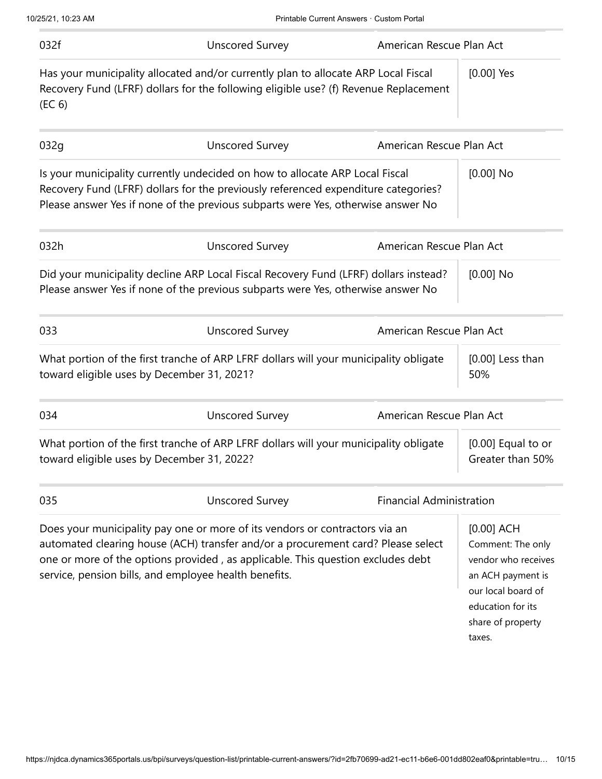| 032f   | <b>Unscored Survey</b>                                                                                                                                                                                                                                                                                      | American Rescue Plan Act        |                                                                                                                                                         |
|--------|-------------------------------------------------------------------------------------------------------------------------------------------------------------------------------------------------------------------------------------------------------------------------------------------------------------|---------------------------------|---------------------------------------------------------------------------------------------------------------------------------------------------------|
| (EC 6) | Has your municipality allocated and/or currently plan to allocate ARP Local Fiscal<br>Recovery Fund (LFRF) dollars for the following eligible use? (f) Revenue Replacement                                                                                                                                  |                                 | $[0.00]$ Yes                                                                                                                                            |
| 032g   | <b>Unscored Survey</b>                                                                                                                                                                                                                                                                                      | American Rescue Plan Act        |                                                                                                                                                         |
|        | Is your municipality currently undecided on how to allocate ARP Local Fiscal<br>Recovery Fund (LFRF) dollars for the previously referenced expenditure categories?<br>Please answer Yes if none of the previous subparts were Yes, otherwise answer No                                                      |                                 | $[0.00]$ No                                                                                                                                             |
| 032h   | <b>Unscored Survey</b>                                                                                                                                                                                                                                                                                      | American Rescue Plan Act        |                                                                                                                                                         |
|        | Did your municipality decline ARP Local Fiscal Recovery Fund (LFRF) dollars instead?<br>Please answer Yes if none of the previous subparts were Yes, otherwise answer No                                                                                                                                    |                                 | $[0.00]$ No                                                                                                                                             |
| 033    | <b>Unscored Survey</b>                                                                                                                                                                                                                                                                                      | American Rescue Plan Act        |                                                                                                                                                         |
|        | What portion of the first tranche of ARP LFRF dollars will your municipality obligate<br>toward eligible uses by December 31, 2021?                                                                                                                                                                         |                                 | $[0.00]$ Less than<br>50%                                                                                                                               |
| 034    | <b>Unscored Survey</b>                                                                                                                                                                                                                                                                                      | American Rescue Plan Act        |                                                                                                                                                         |
|        | What portion of the first tranche of ARP LFRF dollars will your municipality obligate<br>toward eligible uses by December 31, 2022?                                                                                                                                                                         |                                 | $[0.00]$ Equal to or<br>Greater than 50%                                                                                                                |
| 035    | <b>Unscored Survey</b>                                                                                                                                                                                                                                                                                      | <b>Financial Administration</b> |                                                                                                                                                         |
|        | Does your municipality pay one or more of its vendors or contractors via an<br>automated clearing house (ACH) transfer and/or a procurement card? Please select<br>one or more of the options provided, as applicable. This question excludes debt<br>service, pension bills, and employee health benefits. |                                 | $[0.00]$ ACH<br>Comment: The only<br>vendor who receives<br>an ACH payment is<br>our local board of<br>education for its<br>share of property<br>taxes. |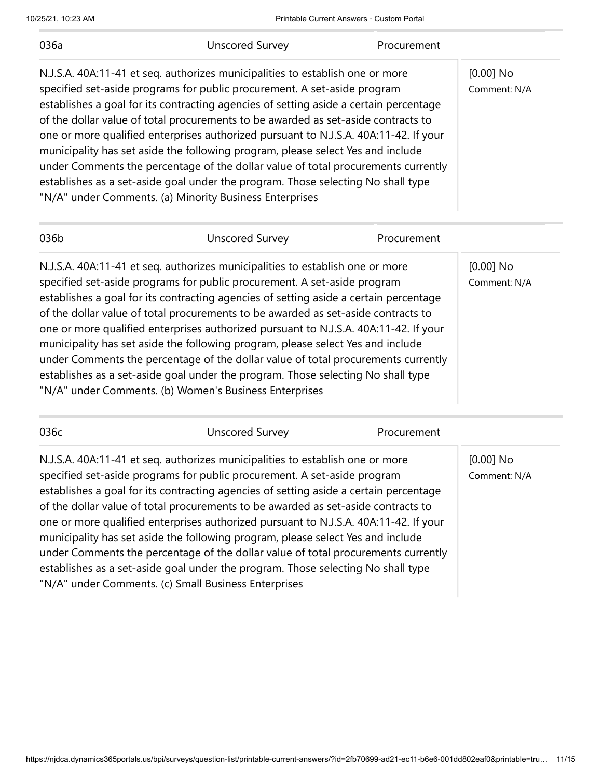10/25/21, 10:23 AM Printable Current Answers · Custom Portal

| 036a                                                                                                                                                                                                                                                                                                                                                                                                                                                                                                                                                                                                                                                                                                                                                   | <b>Unscored Survey</b>                                                                                                                                                                                                                                                                                                                                                                                                                                                                                                                                                                                                                                                                                                                                | Procurement |                             |
|--------------------------------------------------------------------------------------------------------------------------------------------------------------------------------------------------------------------------------------------------------------------------------------------------------------------------------------------------------------------------------------------------------------------------------------------------------------------------------------------------------------------------------------------------------------------------------------------------------------------------------------------------------------------------------------------------------------------------------------------------------|-------------------------------------------------------------------------------------------------------------------------------------------------------------------------------------------------------------------------------------------------------------------------------------------------------------------------------------------------------------------------------------------------------------------------------------------------------------------------------------------------------------------------------------------------------------------------------------------------------------------------------------------------------------------------------------------------------------------------------------------------------|-------------|-----------------------------|
| N.J.S.A. 40A:11-41 et seq. authorizes municipalities to establish one or more<br>specified set-aside programs for public procurement. A set-aside program<br>establishes a goal for its contracting agencies of setting aside a certain percentage<br>of the dollar value of total procurements to be awarded as set-aside contracts to<br>one or more qualified enterprises authorized pursuant to N.J.S.A. 40A:11-42. If your<br>municipality has set aside the following program, please select Yes and include<br>under Comments the percentage of the dollar value of total procurements currently<br>establishes as a set-aside goal under the program. Those selecting No shall type<br>"N/A" under Comments. (a) Minority Business Enterprises |                                                                                                                                                                                                                                                                                                                                                                                                                                                                                                                                                                                                                                                                                                                                                       |             | $[0.00]$ No<br>Comment: N/A |
| 036b                                                                                                                                                                                                                                                                                                                                                                                                                                                                                                                                                                                                                                                                                                                                                   | <b>Unscored Survey</b>                                                                                                                                                                                                                                                                                                                                                                                                                                                                                                                                                                                                                                                                                                                                | Procurement |                             |
|                                                                                                                                                                                                                                                                                                                                                                                                                                                                                                                                                                                                                                                                                                                                                        | N.J.S.A. 40A:11-41 et seq. authorizes municipalities to establish one or more<br>specified set-aside programs for public procurement. A set-aside program<br>establishes a goal for its contracting agencies of setting aside a certain percentage<br>of the dollar value of total procurements to be awarded as set-aside contracts to<br>one or more qualified enterprises authorized pursuant to N.J.S.A. 40A:11-42. If your<br>municipality has set aside the following program, please select Yes and include<br>under Comments the percentage of the dollar value of total procurements currently<br>establishes as a set-aside goal under the program. Those selecting No shall type<br>"N/A" under Comments. (b) Women's Business Enterprises |             | $[0.00]$ No<br>Comment: N/A |
| 036c                                                                                                                                                                                                                                                                                                                                                                                                                                                                                                                                                                                                                                                                                                                                                   | <b>Unscored Survey</b>                                                                                                                                                                                                                                                                                                                                                                                                                                                                                                                                                                                                                                                                                                                                | Procurement |                             |
| of the dollar value of total procurements to be awarded as set-aside contracts to                                                                                                                                                                                                                                                                                                                                                                                                                                                                                                                                                                                                                                                                      | N.J.S.A. 40A:11-41 et seg. authorizes municipalities to establish one or more<br>specified set-aside programs for public procurement. A set-aside program<br>establishes a goal for its contracting agencies of setting aside a certain percentage                                                                                                                                                                                                                                                                                                                                                                                                                                                                                                    |             | $[0.00]$ No<br>Comment: N/A |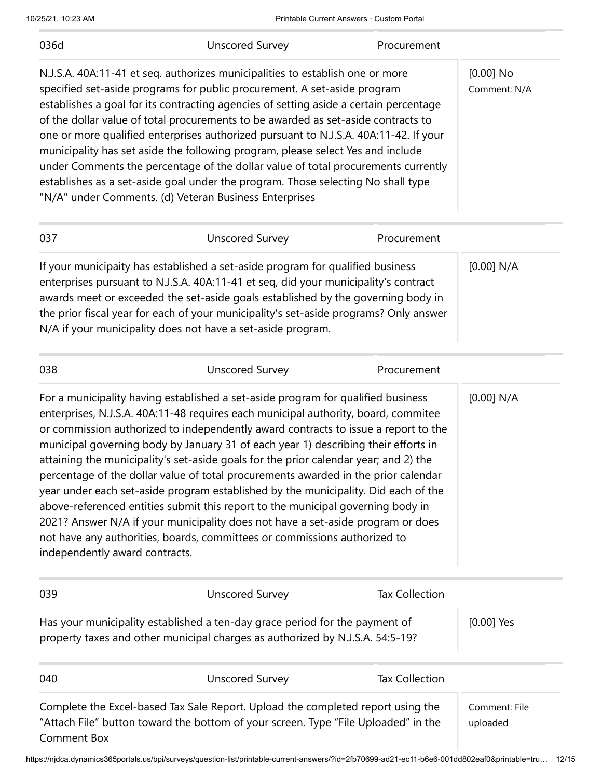| 036d                                                                                                                                                                                                                                                                                                                                                                                                                                                                                                                                                                                                                                                                                                                                                                                                                                                                                                        | <b>Unscored Survey</b>                                                                                                                                                                                                                                                                                                                                                                                                                                                                                                                                                                                                                                                                                                                                | Procurement           |                             |
|-------------------------------------------------------------------------------------------------------------------------------------------------------------------------------------------------------------------------------------------------------------------------------------------------------------------------------------------------------------------------------------------------------------------------------------------------------------------------------------------------------------------------------------------------------------------------------------------------------------------------------------------------------------------------------------------------------------------------------------------------------------------------------------------------------------------------------------------------------------------------------------------------------------|-------------------------------------------------------------------------------------------------------------------------------------------------------------------------------------------------------------------------------------------------------------------------------------------------------------------------------------------------------------------------------------------------------------------------------------------------------------------------------------------------------------------------------------------------------------------------------------------------------------------------------------------------------------------------------------------------------------------------------------------------------|-----------------------|-----------------------------|
|                                                                                                                                                                                                                                                                                                                                                                                                                                                                                                                                                                                                                                                                                                                                                                                                                                                                                                             | N.J.S.A. 40A:11-41 et seq. authorizes municipalities to establish one or more<br>specified set-aside programs for public procurement. A set-aside program<br>establishes a goal for its contracting agencies of setting aside a certain percentage<br>of the dollar value of total procurements to be awarded as set-aside contracts to<br>one or more qualified enterprises authorized pursuant to N.J.S.A. 40A:11-42. If your<br>municipality has set aside the following program, please select Yes and include<br>under Comments the percentage of the dollar value of total procurements currently<br>establishes as a set-aside goal under the program. Those selecting No shall type<br>"N/A" under Comments. (d) Veteran Business Enterprises |                       | $[0.00]$ No<br>Comment: N/A |
| 037                                                                                                                                                                                                                                                                                                                                                                                                                                                                                                                                                                                                                                                                                                                                                                                                                                                                                                         | <b>Unscored Survey</b>                                                                                                                                                                                                                                                                                                                                                                                                                                                                                                                                                                                                                                                                                                                                | Procurement           |                             |
|                                                                                                                                                                                                                                                                                                                                                                                                                                                                                                                                                                                                                                                                                                                                                                                                                                                                                                             | If your municipaity has established a set-aside program for qualified business<br>enterprises pursuant to N.J.S.A. 40A:11-41 et seq, did your municipality's contract<br>awards meet or exceeded the set-aside goals established by the governing body in<br>the prior fiscal year for each of your municipality's set-aside programs? Only answer<br>N/A if your municipality does not have a set-aside program.                                                                                                                                                                                                                                                                                                                                     |                       | [0.00] N/A                  |
| 038                                                                                                                                                                                                                                                                                                                                                                                                                                                                                                                                                                                                                                                                                                                                                                                                                                                                                                         | <b>Unscored Survey</b>                                                                                                                                                                                                                                                                                                                                                                                                                                                                                                                                                                                                                                                                                                                                | Procurement           |                             |
| For a municipality having established a set-aside program for qualified business<br>enterprises, N.J.S.A. 40A:11-48 requires each municipal authority, board, commitee<br>or commission authorized to independently award contracts to issue a report to the<br>municipal governing body by January 31 of each year 1) describing their efforts in<br>attaining the municipality's set-aside goals for the prior calendar year; and 2) the<br>percentage of the dollar value of total procurements awarded in the prior calendar<br>year under each set-aside program established by the municipality. Did each of the<br>above-referenced entities submit this report to the municipal governing body in<br>2021? Answer N/A if your municipality does not have a set-aside program or does<br>not have any authorities, boards, committees or commissions authorized to<br>independently award contracts. |                                                                                                                                                                                                                                                                                                                                                                                                                                                                                                                                                                                                                                                                                                                                                       |                       | [0.00] N/A                  |
| 039                                                                                                                                                                                                                                                                                                                                                                                                                                                                                                                                                                                                                                                                                                                                                                                                                                                                                                         | <b>Unscored Survey</b>                                                                                                                                                                                                                                                                                                                                                                                                                                                                                                                                                                                                                                                                                                                                | <b>Tax Collection</b> |                             |
| Has your municipality established a ten-day grace period for the payment of<br>property taxes and other municipal charges as authorized by N.J.S.A. 54:5-19?                                                                                                                                                                                                                                                                                                                                                                                                                                                                                                                                                                                                                                                                                                                                                |                                                                                                                                                                                                                                                                                                                                                                                                                                                                                                                                                                                                                                                                                                                                                       |                       | $[0.00]$ Yes                |
| 040                                                                                                                                                                                                                                                                                                                                                                                                                                                                                                                                                                                                                                                                                                                                                                                                                                                                                                         | <b>Unscored Survey</b>                                                                                                                                                                                                                                                                                                                                                                                                                                                                                                                                                                                                                                                                                                                                | <b>Tax Collection</b> |                             |
| <b>Comment Box</b>                                                                                                                                                                                                                                                                                                                                                                                                                                                                                                                                                                                                                                                                                                                                                                                                                                                                                          | Complete the Excel-based Tax Sale Report. Upload the completed report using the<br>"Attach File" button toward the bottom of your screen. Type "File Uploaded" in the                                                                                                                                                                                                                                                                                                                                                                                                                                                                                                                                                                                 |                       | Comment: File<br>uploaded   |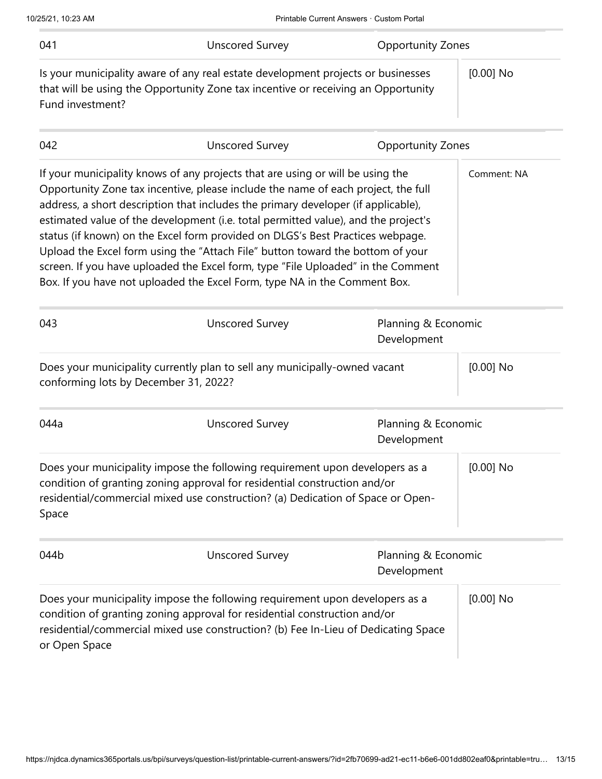| 041                                                                                                                 | <b>Unscored Survey</b>                                                                                                                                                                                                                                                                                                                                                                                                                                                                                                                                                                                                                                                              | <b>Opportunity Zones</b>           |             |
|---------------------------------------------------------------------------------------------------------------------|-------------------------------------------------------------------------------------------------------------------------------------------------------------------------------------------------------------------------------------------------------------------------------------------------------------------------------------------------------------------------------------------------------------------------------------------------------------------------------------------------------------------------------------------------------------------------------------------------------------------------------------------------------------------------------------|------------------------------------|-------------|
| Fund investment?                                                                                                    | Is your municipality aware of any real estate development projects or businesses<br>that will be using the Opportunity Zone tax incentive or receiving an Opportunity                                                                                                                                                                                                                                                                                                                                                                                                                                                                                                               |                                    | $[0.00]$ No |
| 042                                                                                                                 | <b>Unscored Survey</b>                                                                                                                                                                                                                                                                                                                                                                                                                                                                                                                                                                                                                                                              | <b>Opportunity Zones</b>           |             |
|                                                                                                                     | If your municipality knows of any projects that are using or will be using the<br>Opportunity Zone tax incentive, please include the name of each project, the full<br>address, a short description that includes the primary developer (if applicable),<br>estimated value of the development (i.e. total permitted value), and the project's<br>status (if known) on the Excel form provided on DLGS's Best Practices webpage.<br>Upload the Excel form using the "Attach File" button toward the bottom of your<br>screen. If you have uploaded the Excel form, type "File Uploaded" in the Comment<br>Box. If you have not uploaded the Excel Form, type NA in the Comment Box. |                                    | Comment: NA |
| 043                                                                                                                 | <b>Unscored Survey</b>                                                                                                                                                                                                                                                                                                                                                                                                                                                                                                                                                                                                                                                              | Planning & Economic<br>Development |             |
| Does your municipality currently plan to sell any municipally-owned vacant<br>conforming lots by December 31, 2022? |                                                                                                                                                                                                                                                                                                                                                                                                                                                                                                                                                                                                                                                                                     | $[0.00]$ No                        |             |
| 044a                                                                                                                | <b>Unscored Survey</b>                                                                                                                                                                                                                                                                                                                                                                                                                                                                                                                                                                                                                                                              | Planning & Economic<br>Development |             |
| Space                                                                                                               | Does your municipality impose the following requirement upon developers as a<br>condition of granting zoning approval for residential construction and/or<br>residential/commercial mixed use construction? (a) Dedication of Space or Open-                                                                                                                                                                                                                                                                                                                                                                                                                                        |                                    | $[0.00]$ No |
| 044b                                                                                                                | <b>Unscored Survey</b>                                                                                                                                                                                                                                                                                                                                                                                                                                                                                                                                                                                                                                                              | Planning & Economic<br>Development |             |
| or Open Space                                                                                                       | Does your municipality impose the following requirement upon developers as a<br>condition of granting zoning approval for residential construction and/or<br>residential/commercial mixed use construction? (b) Fee In-Lieu of Dedicating Space                                                                                                                                                                                                                                                                                                                                                                                                                                     |                                    | $[0.00]$ No |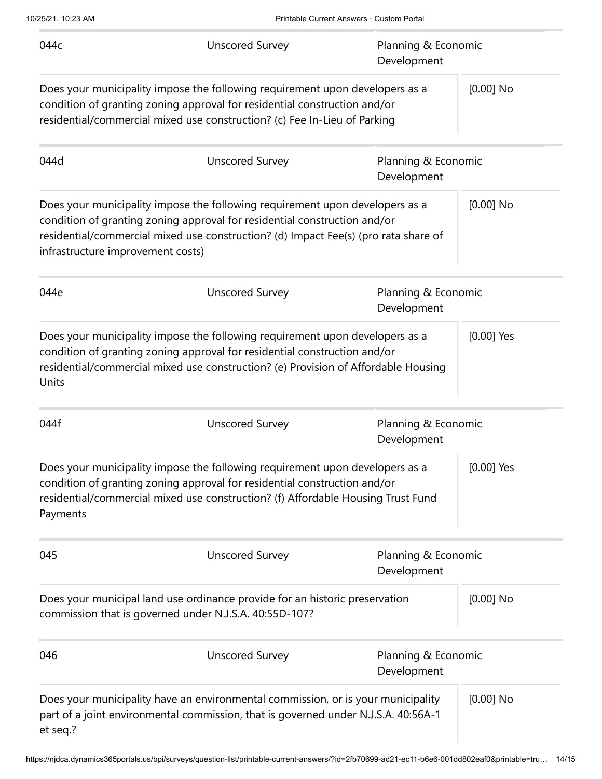| 044c                              | <b>Unscored Survey</b>                                                                                                                                                                                                                           | Planning & Economic<br>Development |              |
|-----------------------------------|--------------------------------------------------------------------------------------------------------------------------------------------------------------------------------------------------------------------------------------------------|------------------------------------|--------------|
|                                   | Does your municipality impose the following requirement upon developers as a<br>condition of granting zoning approval for residential construction and/or<br>residential/commercial mixed use construction? (c) Fee In-Lieu of Parking           |                                    | $[0.00]$ No  |
| 044d                              | <b>Unscored Survey</b>                                                                                                                                                                                                                           | Planning & Economic<br>Development |              |
| infrastructure improvement costs) | Does your municipality impose the following requirement upon developers as a<br>condition of granting zoning approval for residential construction and/or<br>residential/commercial mixed use construction? (d) Impact Fee(s) (pro rata share of |                                    | $[0.00]$ No  |
| 044e                              | <b>Unscored Survey</b>                                                                                                                                                                                                                           | Planning & Economic<br>Development |              |
| Units                             | Does your municipality impose the following requirement upon developers as a<br>condition of granting zoning approval for residential construction and/or<br>residential/commercial mixed use construction? (e) Provision of Affordable Housing  |                                    | $[0.00]$ Yes |
| 044f                              | <b>Unscored Survey</b>                                                                                                                                                                                                                           | Planning & Economic<br>Development |              |
| Payments                          | Does your municipality impose the following requirement upon developers as a<br>condition of granting zoning approval for residential construction and/or<br>residential/commercial mixed use construction? (f) Affordable Housing Trust Fund    |                                    | $[0.00]$ Yes |
| 045                               | <b>Unscored Survey</b>                                                                                                                                                                                                                           | Planning & Economic<br>Development |              |
|                                   | Does your municipal land use ordinance provide for an historic preservation<br>commission that is governed under N.J.S.A. 40:55D-107?                                                                                                            |                                    | $[0.00]$ No  |
| 046                               | <b>Unscored Survey</b>                                                                                                                                                                                                                           | Planning & Economic<br>Development |              |
| et seq.?                          | Does your municipality have an environmental commission, or is your municipality<br>part of a joint environmental commission, that is governed under N.J.S.A. 40:56A-1                                                                           |                                    | $[0.00]$ No  |